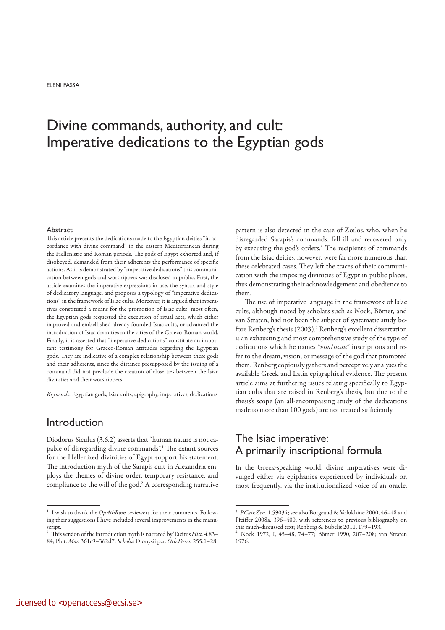ELENI FASSA

# Divine commands, authority, and cult: Imperative dedications to the Egyptian gods

#### Abstract

This article presents the dedications made to the Egyptian deities "in accordance with divine command" in the eastern Mediterranean during the Hellenistic and Roman periods. The gods of Egypt exhorted and, if disobeyed, demanded from their adherents the performance of specific actions. As it is demonstrated by "imperative dedications" this communication between gods and worshippers was disclosed in public. First, the article examines the imperative expressions in use, the syntax and style of dedicatory language, and proposes a typology of "imperative dedications" in the framework of Isiac cults. Moreover, it is argued that imperatives constituted a means for the promotion of Isiac cults; most often, the Egyptian gods requested the execution of ritual acts, which either improved and embellished already-founded Isiac cults, or advanced the introduction of Isiac divinities in the cities of the Graeco-Roman world. Finally, it is asserted that "imperative dedications" constitute an important testimony for Graeco-Roman attitudes regarding the Egyptian gods. They are indicative of a complex relationship between these gods and their adherents, since the distance presupposed by the issuing of a command did not preclude the creation of close ties between the Isiac divinities and their worshippers.

*Keywords*: Egyptian gods, Isiac cults, epigraphy, imperatives, dedications

### Introduction

Diodorus Siculus (3.6.2) asserts that "human nature is not capable of disregarding divine commands".1 The extant sources for the Hellenized divinities of Egypt support his statement. The introduction myth of the Sarapis cult in Alexandria employs the themes of divine order, temporary resistance, and compliance to the will of the god.2 A corresponding narrative pattern is also detected in the case of Zoilos, who, when he disregarded Sarapis's commands, fell ill and recovered only by executing the god's orders.3 The recipients of commands from the Isiac deities, however, were far more numerous than these celebrated cases. They left the traces of their communication with the imposing divinities of Egypt in public places, thus demonstrating their acknowledgement and obedience to them.

The use of imperative language in the framework of Isiac cults, although noted by scholars such as Nock, Bömer, and van Straten, had not been the subject of systematic study before Renberg's thesis (2003).<sup>4</sup> Renberg's excellent dissertation is an exhausting and most comprehensive study of the type of dedications which he names "*viso*/*iussu*" inscriptions and refer to the dream, vision, or message of the god that prompted them. Renberg copiously gathers and perceptively analyses the available Greek and Latin epigraphical evidence. The present article aims at furthering issues relating specifically to Egyptian cults that are raised in Renberg's thesis, but due to the thesis's scope (an all-encompassing study of the dedications made to more than 100 gods) are not treated sufficiently.

# The Isiac imperative: A primarily inscriptional formula

In the Greek-speaking world, divine imperatives were divulged either via epiphanies experienced by individuals or, most frequently, via the institutionalized voice of an oracle.

 $^1\,$  I wish to thank the  $OpAthRom$  reviewers for their comments. Following their suggestions I have included several improvements in the manuscript.

<sup>2</sup> This version of the introduction myth is narrated by Tacitus *Hist.* 4.83– 84; Plut. *Mor.* 361e9–362d7; *Scholia* Dionysii per. *Orb.Descr.* 255.1–28.

<sup>3</sup>*P.Cair.Zen*. 1.59034; see also Borgeaud & Volokhine 2000, 46–48 and Pfeiffer 2008a, 396–400, with references to previous bibliography on this much-discussed text; Renberg & Bubelis 2011, 179–193.

<sup>4</sup> Nock 1972, I, 45–48, 74–77; Bömer 1990, 207–208; van Straten 1976.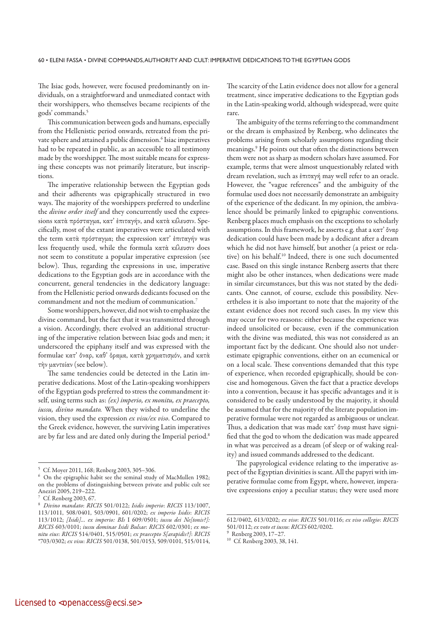The Isiac gods, however, were focused predominantly on individuals, on a straightforward and unmediated contact with their worshippers, who themselves became recipients of the gods' commands.5

This communication between gods and humans, especially from the Hellenistic period onwards, retreated from the private sphere and attained a public dimension.6 Isiac imperatives had to be repeated in public, as an accessible to all testimony made by the worshipper. The most suitable means for expressing these concepts was not primarily literature, but inscriptions.

The imperative relationship between the Egyptian gods and their adherents was epigraphically structured in two ways. The majority of the worshippers preferred to underline the *divine order itself* and they concurrently used the expressions κατά πρόσταγμα, κατ' έπιταγήν, and κατά κέλευσιν. Specifically, most of the extant imperatives were articulated with the term κατὰ πρόσταγμα; the expression κατ' ἐπιταγήν was less frequently used, while the formula κατὰ κέλευσιν does not seem to constitute a popular imperative expression (see below). Thus, regarding the expressions in use, imperative dedications to the Egyptian gods are in accordance with the concurrent, general tendencies in the dedicatory language: from the Hellenistic period onwards dedicants focused on the commandment and not the medium of communication.7

Some worshippers, however, did not wish to emphasize the divine command, but the fact that it was transmitted through a vision. Accordingly, there evolved an additional structuring of the imperative relation between Isiac gods and men; it underscored the epiphany itself and was expressed with the formulae κατ' ὄναρ, καθ' ὅραμα, κατὰ χρηματισμόν, and κατὰ τὴν μαντείαν (see below).

The same tendencies could be detected in the Latin imperative dedications. Most of the Latin-speaking worshippers of the Egyptian gods preferred to stress the commandment itself, using terms such as: *(ex) imperio, ex monitu, ex praecepto, iussu, divino mandato.* When they wished to underline the vision, they used the expression *ex visu/ex viso*. Compared to the Greek evidence, however, the surviving Latin imperatives are by far less and are dated only during the Imperial period.<sup>8</sup> The scarcity of the Latin evidence does not allow for a general treatment, since imperative dedications to the Egyptian gods in the Latin-speaking world, although widespread, were quite rare.

The ambiguity of the terms referring to the commandment or the dream is emphasized by Renberg, who delineates the problems arising from scholarly assumptions regarding their meanings.9 He points out that often the distinctions between them were not as sharp as modern scholars have assumed. For example, terms that were almost unquestionably related with dream revelation, such as ἐπιταγή may well refer to an oracle. However, the "vague references" and the ambiguity of the formulae used does not necessarily demonstrate an ambiguity of the experience of the dedicant. In my opinion, the ambivalence should be primarily linked to epigraphic conventions. Renberg places much emphasis on the exceptions to scholarly assumptions. In this framework, he asserts e.g. that a κατ' ὄναρ dedication could have been made by a dedicant after a dream which he did not have himself, but another (a priest or relative) on his behalf.10 Indeed, there is one such documented case. Based on this single instance Renberg asserts that there might also be other instances, when dedications were made in similar circumstances, but this was not stated by the dedicants. One cannot, of course, exclude this possibility. Nevertheless it is also important to note that the majority of the extant evidence does not record such cases. In my view this may occur for two reasons: either because the experience was indeed unsolicited or because, even if the communication with the divine was mediated, this was not considered as an important fact by the dedicant. One should also not underestimate epigraphic conventions, either on an ecumenical or on a local scale. These conventions demanded that this type of experience, when recorded epigraphically, should be concise and homogenous. Given the fact that a practice develops into a convention, because it has specific advantages and it is considered to be easily understood by the majority, it should be assumed that for the majority of the literate population imperative formulae were not regarded as ambiguous or unclear. Thus, a dedication that was made κατ' ὄναρ must have signified that the god to whom the dedication was made appeared in what was perceived as a dream (of sleep or of waking reality) and issued commands addressed to the dedicant.

The papyrological evidence relating to the imperative aspect of the Egyptian divinities is scant. All the papyri with imperative formulae come from Egypt, where, however, imperative expressions enjoy a peculiar status; they were used more

<sup>5</sup> Cf. Moyer 2011, 168; Renberg 2003, 305–306.

<sup>6</sup> On the epigraphic habit see the seminal study of MacMullen 1982; on the problems of distinguishing between private and public cult see Aneziri 2005, 219–222.

<sup>7</sup> Cf. Renberg 2003, 67. 8 *Divino mandato*: *RICIS* 501/0122; *Isidis imperio*: *RICIS* 113/1007, 113/1011, 508/0401, 503/0901, 601/0202; *ex imperio Isidis*: *RICIS* 113/1012; *[Isidi]… ex imperio: BIs* I 609/0501; *iussu dei Ne[tonis?]: RICIS* 603/0101; *iussu dominae Isidi Bulsae*: *RICIS* 602/0301; *ex monitu eius*: *RICIS* 514/0401, 515/0501; *ex praecepto S[arapidis?]*: *RICIS*  \*703/0302; *ex visu*: *RICIS* 501/0138, 501/0153, 509/0101, 515/0114,

<sup>612/0402, 613/0202;</sup> *ex viso*: *RICIS* 501/0116; *ex viso collegio*: *RICIS* 501/0112; *ex voto et iussu*: *RICIS* 602/0202.

<sup>9</sup> Renberg 2003, 17–27.

<sup>&</sup>lt;sup>10</sup> Cf. Renberg 2003, 38, 141.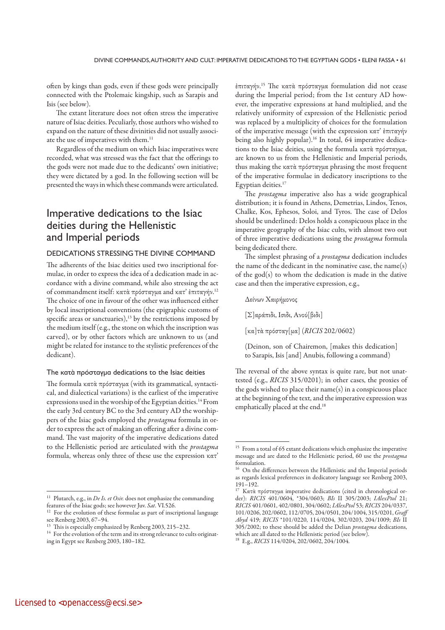often by kings than gods, even if these gods were principally connected with the Ptolemaic kingship, such as Sarapis and Isis (see below).

The extant literature does not often stress the imperative nature of Isiac deities. Peculiarly, those authors who wished to expand on the nature of these divinities did not usually associate the use of imperatives with them.11

Regardless of the medium on which Isiac imperatives were recorded, what was stressed was the fact that the offerings to the gods were not made due to the dedicants' own initiative; they were dictated by a god. In the following section will be presented the ways in which these commands were articulated.

# Imperative dedications to the Isiac deities during the Hellenistic and Imperial periods

#### DEDICATIONS STRESSING THE DIVINE COMMAND

The adherents of the Isiac deities used two inscriptional formulae, in order to express the idea of a dedication made in accordance with a divine command, while also stressing the act of commandment itself: κατὰ πρόσταγμα and κατ' ἐπιταγήν.12 The choice of one in favour of the other was influenced either by local inscriptional conventions (the epigraphic customs of specific areas or sanctuaries), $13$  by the restrictions imposed by the medium itself (e.g., the stone on which the inscription was carved), or by other factors which are unknown to us (and might be related for instance to the stylistic preferences of the dedicant).

#### The κατὰ πρόσταγμα dedications to the Isiac deities

The formula κατὰ πρόσταγμα (with its grammatical, syntactical, and dialectical variations) is the earliest of the imperative expressions used in the worship of the Egyptian deities.14 From the early 3rd century BC to the 3rd century AD the worshippers of the Isiac gods employed the *prostagma* formula in order to express the act of making an offering after a divine command. The vast majority of the imperative dedications dated to the Hellenistic period are articulated with the *prostagma*  formula, whereas only three of these use the expression κατ' ἐπιταγήν.15 The κατὰ πρόσταγμα formulation did not cease during the Imperial period; from the 1st century AD however, the imperative expressions at hand multiplied, and the relatively uniformity of expression of the Hellenistic period was replaced by a multiplicity of choices for the formulation of the imperative message (with the expression κατ' ἐπιταγήν being also highly popular).<sup>16</sup> In total, 64 imperative dedications to the Isiac deities, using the formula κατὰ πρόσταγμα, are known to us from the Hellenistic and Imperial periods, thus making the κατὰ πρόσταγμα phrasing the most frequent of the imperative formulae in dedicatory inscriptions to the Egyptian deities.17

The *prostagma* imperative also has a wide geographical distribution; it is found in Athens, Demetrias, Lindos, Tenos, Chalke, Kos, Ephesos, Soloi, and Tyros. The case of Delos should be underlined: Delos holds a conspicuous place in the imperative geography of the Isiac cults, with almost two out of three imperative dedications using the *prostagma* formula being dedicated there.

The simplest phrasing of a *prostagma* dedication includes the name of the dedicant in the nominative case, the name(s) of the god(s) to whom the dedication is made in the dative case and then the imperative expression, e.g.,

Δείνων Χαιρήμονος

[Σ]αράπιδι, Ἴσιδι, Ἀνού[βιδι]

[κα]τὰ πρόσταγ[μα] (*RICIS* 202/0602)

(Deinon, son of Chairemon, [makes this dedication] to Sarapis, Isis [and] Anubis, following a command)

The reversal of the above syntax is quite rare, but not unattested (e.g., *RICIS* 315/0201); in other cases, the proxies of the gods wished to place their name(s) in a conspicuous place at the beginning of the text, and the imperative expression was emphatically placed at the end.<sup>18</sup>

<sup>&</sup>lt;sup>11</sup> Plutarch, e.g., in *De Is. et Osir*. does not emphasize the commanding features of the Isiac gods; see however Juv. *Sat*. VI.526.

For the evolution of these formulae as part of inscriptional language see Renberg 2003, 67–94.

<sup>&</sup>lt;sup>13</sup> This is especially emphasized by Renberg 2003, 215-232.

 $^{14}\,$  For the evolution of the term and its strong relevance to cults originating in Egypt see Renberg 2003, 180–182.

 $^{\rm 15}$  From a total of 65 extant dedications which emphasize the imperative message and are dated to the Hellenistic period, 60 use the *prostagma* formulation.

<sup>&</sup>lt;sup>16</sup> On the differences between the Hellenistic and the Imperial periods as regards lexical preferences in dedicatory language see Renberg 2003,  $191-192.$ 

<sup>17</sup> Κατὰ πρόσταγμα imperative dedications (cited in chronological order): *RICIS* 401/0604, \*304/0603; *BIs* II 305/2003; *IAlexPtol* 21; *RICIS* 401/0601, 402/0801, 304/0602; *IAlexPtol* 53; *RICIS* 204/0337, 101/0206, 202/0602, 112/0705, 204/0501, 204/1004, 315/0201, *Graff Abyd* 419; *RICIS* \*101/0220, 114/0204, 302/0203, 204/1009; *BIs* II 305/2002; to these should be added the Delian *prostagma* dedications, which are all dated to the Hellenistic period (see below).

<sup>18</sup> E.g., *RICIS* 114/0204, 202/0602, 204/1004.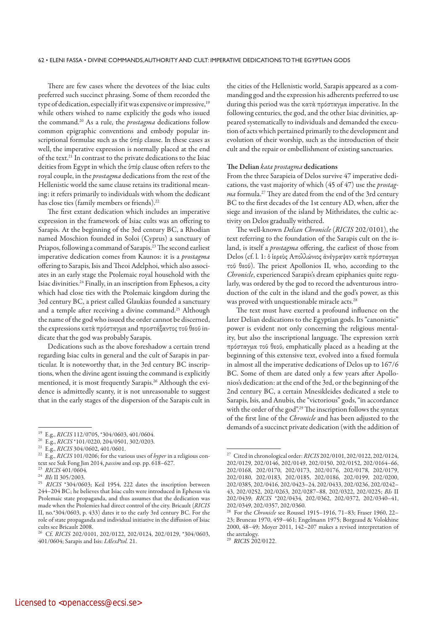There are few cases where the devotees of the Isiac cults preferred such succinct phrasing. Some of them recorded the type of dedication, especially if it was expensive or impressive,<sup>19</sup> while others wished to name explicitly the gods who issued the command.20 As a rule, the *prostagma* dedications follow common epigraphic conventions and embody popular inscriptional formulae such as the ὑπέρ clause. In these cases as well, the imperative expression is normally placed at the end of the text.21 In contrast to the private dedications to the Isiac deities from Egypt in which the ὑπέρ clause often refers to the royal couple, in the *prostagma* dedications from the rest of the Hellenistic world the same clause retains its traditional meaning: it refers primarily to individuals with whom the dedicant has close ties (family members or friends).22

The first extant dedication which includes an imperative expression in the framework of Isiac cults was an offering to Sarapis. At the beginning of the 3rd century BC, a Rhodian named Moschion founded in Soloi (Cyprus) a sanctuary of Priapos, following a command of Sarapis.23 The second earliest imperative dedication comes from Kaunos: it is a *prostagma* offering to Sarapis, Isis and Theoi Adelphoi, which also associates in an early stage the Ptolemaic royal household with the Isiac divinities.24 Finally, in an inscription from Ephesos, a city which had close ties with the Ptolemaic kingdom during the 3rd century BC, a priest called Glaukias founded a sanctuary and a temple after receiving a divine command.25 Although the name of the god who issued the order cannot be discerned, the expressions κατὰ πρόσταγμα and προστάξαντος τοῦ θεοῦ indicate that the god was probably Sarapis.

Dedications such as the above foreshadow a certain trend regarding Isiac cults in general and the cult of Sarapis in particular. It is noteworthy that, in the 3rd century BC inscriptions, when the divine agent issuing the command is explicitly mentioned, it is most frequently Sarapis.<sup>26</sup> Although the evidence is admittedly scanty, it is not unreasonable to suggest that in the early stages of the dispersion of the Sarapis cult in the cities of the Hellenistic world, Sarapis appeared as a commanding god and the expression his adherents preferred to use during this period was the κατὰ πρόσταγμα imperative. In the following centuries, the god, and the other Isiac divinities, appeared systematically to individuals and demanded the execution of acts which pertained primarily to the development and evolution of their worship, such as the introduction of their cult and the repair or embellishment of existing sanctuaries.

#### **The Delian** *kata prostagma* **dedications**

From the three Sarapieia of Delos survive 47 imperative dedications, the vast majority of which (45 of 47) use the *prostagma* formula.27 They are dated from the end of the 3rd century BC to the first decades of the 1st century AD, when, after the siege and invasion of the island by Mithridates, the cultic activity on Delos gradually withered.

The well-known *Delian Chronicle* (*RICIS* 202/0101), the text referring to the foundation of the Sarapis cult on the island, is itself a *prostagma* offering, the earliest of those from Delos (cf. l. 1: ὁ ἱερεὺς Ἀπολλώνιος ἀνέγραψεν κατὰ πρόσταγμα τοῦ θεοῦ). The priest Apollonios II, who, according to the *Chronicle*, experienced Sarapis's dream epiphanies quite regularly, was ordered by the god to record the adventurous introduction of the cult in the island and the god's power, as this was proved with unquestionable miracle acts.<sup>28</sup>

The text must have exerted a profound influence on the later Delian dedications to the Egyptian gods. Its "canonistic" power is evident not only concerning the religious mentality, but also the inscriptional language. The expression κατὰ πρόσταγμα τοῦ θεοῦ, emphatically placed as a heading at the beginning of this extensive text, evolved into a fixed formula in almost all the imperative dedications of Delos up to 167/6 BC. Some of them are dated only a few years after Apollonios's dedication: at the end of the 3rd, or the beginning of the 2nd century BC, a certain Mnesikleides dedicated a stele to Sarapis, Isis, and Anubis, the "victorious" gods, "in accordance with the order of the god".<sup>29</sup> The inscription follows the syntax of the first line of the *Chronicle* and has been adjusted to the demands of a succinct private dedication (with the addition of

<sup>&</sup>lt;sup>19</sup> E.g., *RICIS* 112/0705, \*304/0603, 401/0604.<br><sup>20</sup> E.g., *RICIS* \*101/0220, 204/0501, 302/0203.

<sup>20</sup> E.g., *RICIS* \*101/0220, 204/0501, 302/0203. 21 E.g., *RICIS* 304/0602, 401/0601.

<sup>22</sup> E.g., *RICIS* 101/0206; for the various uses of *hyper* in a religious context see Suk Fong Jim 2014, *passim* and esp. pp. 618–627.

<sup>23</sup>*RICIS* 401/0604.

<sup>24</sup>*BIs* II 305/2003.

<sup>25</sup>*RICIS* \*304/0603; Keil 1954, 222 dates the inscription between 244–204 BC; he believes that Isiac cults were introduced in Ephesus via Ptolemaic state propaganda, and thus assumes that the dedication was made when the Ptolemies had direct control of the city. Bricault (*RICIS* II, no.\*304/0603, p. 433) dates it to the early 3rd century BC. For the role of state propaganda and individual initiative in the diffusion of Isiac cults see Bricault 2008.

<sup>26</sup> Cf. *RICIS* 202/0101, 202/0122, 202/0124, 202/0129, \*304/0603, 401/0604; Sarapis and Isis: *IAlexPtol.* 21.

<sup>27</sup> Cited in chronological order: *RICIS* 202/0101, 202/0122, 202/0124, 202/0129, 202/0146, 202/0149, 202/0150, 202/0152, 202/0164–66, 202/0168, 202/0170, 202/0173, 202/0176, 202/0178, 202/0179, 202/0180, 202/0183, 202/0185, 202/0186, 202/0199, 202/0200, 202/0385, 202/0416, 202/0423–24, 202/0433, 202/0236, 202/0242– 43, 202/0252, 202/0263, 202/0287–88, 202/0322, 202/0225; *BIs* II 202/0439; *RICIS* \*202/0434, 202/0362, 202/0372, 202/0340–41, 202/0349, 202/0357, 202/0360.

<sup>28</sup> For the *Chronicle* see Roussel 1915–1916, 71–83; Fraser 1960, 22– 23; Bruneau 1970, 459–461; Engelmann 1975; Borgeaud & Volokhine 2000, 48–49; Moyer 2011, 142–207 makes a revised interpretation of the aretalogy.

<sup>29</sup>*RICIS* 202/0122.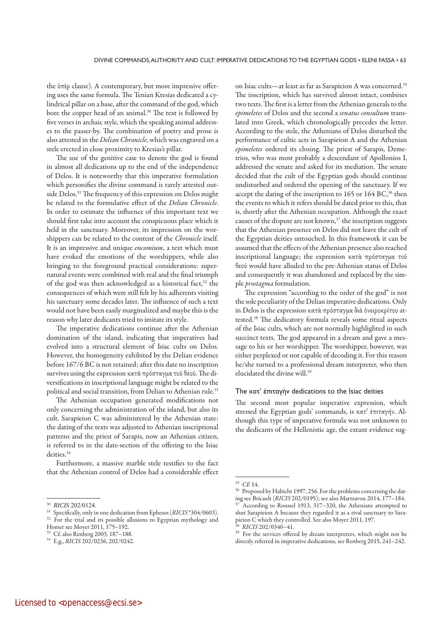the ὑπὲρ clause). A contemporary, but more impressive offering uses the same formula. The Tenian Ktesias dedicated a cylindrical pillar on a base, after the command of the god, which bore the copper head of an animal.<sup>30</sup> The text is followed by five verses in archaic style, which the speaking animal addresses to the passer-by. The combination of poetry and prose is also attested in the *Delian Chronicle*, which was engraved on a stele erected in close proximity to Ktesias's pillar.

The use of the genitive case to denote the god is found in almost all dedications up to the end of the independence of Delos. It is noteworthy that this imperative formulation which personifies the divine command is rarely attested outside Delos.<sup>31</sup> The frequency of this expression on Delos might be related to the formulative effect of the *Delian Chronicle*. In order to estimate the influence of this important text we should first take into account the conspicuous place which it held in the sanctuary. Moreover, its impression on the worshippers can be related to the content of the *Chronicle* itself. It is an impressive and unique *encomium*, a text which must have evoked the emotions of the worshippers, while also bringing to the foreground practical considerations: supernatural events were combined with real and the final triumph of the god was then acknowledged as a historical fact,<sup>32</sup> the consequences of which were still felt by his adherents visiting his sanctuary some decades later. The influence of such a text would not have been easily marginalized and maybe this is the reason why later dedicants tried to imitate its style.

The imperative dedications continue after the Athenian domination of the island, indicating that imperatives had evolved into a structural element of Isiac cults on Delos. However, the homogeneity exhibited by the Delian evidence before 167/6 BC is not retained; after this date no inscription survives using the expression κατὰ πρόσταγμα τοῦ θεοῦ. The diversifications in inscriptional language might be related to the political and social transition, from Delian to Athenian rule.<sup>33</sup>

The Athenian occupation generated modifications not only concerning the administration of the island, but also its cult. Sarapieion C was administered by the Athenian state: the dating of the texts was adjusted to Athenian inscriptional patterns and the priest of Sarapis, now an Athenian citizen, is referred to in the date-section of the offering to the Isiac deities.<sup>34</sup>

Furthermore, a massive marble stele testifies to the fact that the Athenian control of Delos had a considerable effect on Isiac cults—at least as far as Sarapieion A was concerned.35 The inscription, which has survived almost intact, combines two texts. The first is a letter from the Athenian generals to the *epimeletes* of Delos and the second a *senatus consultum* translated into Greek, which chronologically precedes the letter. According to the stele, the Athenians of Delos disturbed the performance of cultic acts in Sarapieion A and the Athenian *epimeletes* ordered its closing. The priest of Sarapis, Demetrios, who was most probably a descendant of Apollonios I, addressed the senate and asked for its mediation. The senate decided that the cult of the Egyptian gods should continue undisturbed and ordered the opening of the sanctuary. If we accept the dating of the inscription to 165 or 164 BC,<sup>36</sup> then the events to which it refers should be dated prior to this, that is, shortly after the Athenian occupation. Although the exact causes of the dispute are not known,<sup>37</sup> the inscription suggests that the Athenian presence on Delos did not leave the cult of the Egyptian deities untouched. In this framework it can be assumed that the effects of the Athenian presence also reached inscriptional language; the expression κατὰ πρόσταγμα τοῦ θεοῦ would have alluded to the pre-Athenian status of Delos and consequently it was abandoned and replaced by the simple *prostagma* formulation.

The expression "according to the order of the god" is not the sole peculiarity of the Delian imperative dedications. Only in Delos is the expression κατὰ πρόσταγμα διὰ ὀνειροκρίτου attested.38 The dedicatory formula reveals some ritual aspects of the Isiac cults, which are not normally highlighted in such succinct texts. The god appeared in a dream and gave a message to his or her worshipper. The worshipper, however, was either perplexed or not capable of decoding it. For this reason he/she turned to a professional dream interpreter, who then elucidated the divine will.39

#### The κατ' ἐπιταγὴν dedications to the Isiac deities

The second most popular imperative expression, which stressed the Egyptian gods' commands, is κατ' ἐπιταγήν. Although this type of imperative formula was not unknown to the dedicants of the Hellenistic age, the extant evidence sug-

<sup>&</sup>lt;sup>30</sup> *RICIS* 202/0124.<br><sup>31</sup> Specifically, only in one dedication from Ephesos (*RICIS* \*304/0603).

<sup>&</sup>lt;sup>32</sup> For the trial and its possible allusions to Egyptian mythology and Homer see Moyer 2011, 175–192.

<sup>33</sup> Cf. also Renberg 2003, 187–188.

<sup>34</sup> E.g., *RICIS* 202/0236, 202/0242.

<sup>35</sup>*CE* 14.

<sup>36</sup> Proposed by Habicht 1997, 256. For the problems concerning the dating see Bricault (*RICIS* 202/0195); see also Martzavou 2014, 177–184. 37 According to Roussel 1913, 317–320, the Athenians attempted to shut Sarapieion A because they regarded it as a rival sanctuary to Sarapieion C which they controlled. See also Moyer 2011, 197.

<sup>38</sup>*RICIS* 202/0340–41.

<sup>&</sup>lt;sup>39</sup> For the services offered by dream interpreters, which might not be directly referred in imperative dedications, see Renberg 2015, 241–242.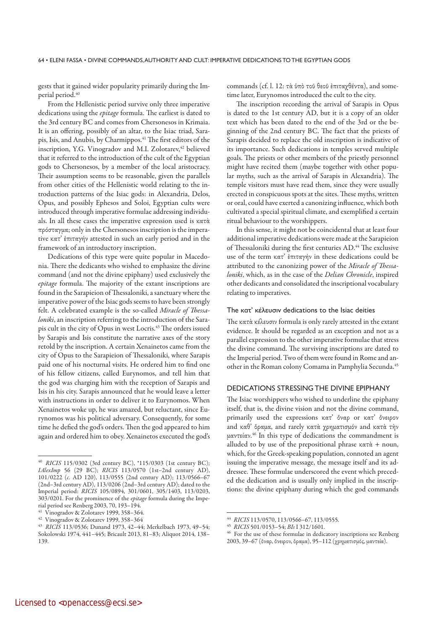gests that it gained wider popularity primarily during the Imperial period.<sup>40</sup>

From the Hellenistic period survive only three imperative dedications using the *epitage* formula. The earliest is dated to the 3rd century BC and comes from Chersonesos in Krimaia. It is an offering, possibly of an altar, to the Isiac triad, Sarapis, Isis, and Anubis, by Charmippos.<sup>41</sup> The first editors of the inscription, Y.G. Vinogradov and M.I. Zolotarev,<sup>42</sup> believed that it referred to the introduction of the cult of the Egyptian gods to Chersonesos, by a member of the local aristocracy. Their assumption seems to be reasonable, given the parallels from other cities of the Hellenistic world relating to the introduction patterns of the Isiac gods: in Alexandria, Delos, Opus, and possibly Ephesos and Soloi, Egyptian cults were introduced through imperative formulae addressing individuals. In all these cases the imperative expression used is κατὰ πρόσταγμα; only in the Chersonesos inscription is the imperative κατ' ἐπιταγήν attested in such an early period and in the framework of an introductory inscription.

Dedications of this type were quite popular in Macedonia. There the dedicants who wished to emphasize the divine command (and not the divine epiphany) used exclusively the *epitage* formula. The majority of the extant inscriptions are found in the Sarapieion of Thessaloniki, a sanctuary where the imperative power of the Isiac gods seems to have been strongly felt. A celebrated example is the so-called *Miracle of Thessaloniki*, an inscription referring to the introduction of the Sarapis cult in the city of Opus in west Locris.<sup>43</sup> The orders issued by Sarapis and Isis constitute the narrative axes of the story retold by the inscription. A certain Xenainetos came from the city of Opus to the Sarapieion of Thessaloniki, where Sarapis paid one of his nocturnal visits. He ordered him to find one of his fellow citizens, called Eurynomos, and tell him that the god was charging him with the reception of Sarapis and Isis in his city. Sarapis announced that he would leave a letter with instructions in order to deliver it to Eurynomos. When Xenainetos woke up, he was amazed, but reluctant, since Eurynomos was his political adversary. Consequently, for some time he defied the god's orders. Then the god appeared to him again and ordered him to obey. Xenainetos executed the god's

commands (cf. l. 12: τὰ ὑπὸ τοῦ θεοῦ ἐπιταχθέντα), and sometime later, Eurynomos introduced the cult to the city.

The inscription recording the arrival of Sarapis in Opus is dated to the 1st century AD, but it is a copy of an older text which has been dated to the end of the 3rd or the beginning of the 2nd century BC. The fact that the priests of Sarapis decided to replace the old inscription is indicative of its importance. Such dedications in temples served multiple goals. The priests or other members of the priestly personnel might have recited them (maybe together with other popular myths, such as the arrival of Sarapis in Alexandria). The temple visitors must have read them, since they were usually erected in conspicuous spots at the sites. These myths, written or oral, could have exerted a canonizing influence, which both cultivated a special spiritual climate, and exemplified a certain ritual behaviour to the worshippers.

In this sense, it might not be coincidental that at least four additional imperative dedications were made at the Sarapieion of Thessaloniki during the first centuries AD.<sup>44</sup> The exclusive use of the term κατ' ἐπιταγήν in these dedications could be attributed to the canonizing power of the *Miracle of Thessaloniki*, which, as in the case of the *Delian Chronicle*, inspired other dedicants and consolidated the inscriptional vocabulary relating to imperatives.

#### The κατ' κέλευσιν dedications to the Isiac deities

The κατὰ κέλευσιν formula is only rarely attested in the extant evidence. It should be regarded as an exception and not as a parallel expression to the other imperative formulae that stress the divine command. The surviving inscriptions are dated to the Imperial period. Two of them were found in Rome and another in the Roman colony Comama in Pamphylia Secunda.<sup>45</sup>

#### DEDICATIONS STRESSING THE DIVINE EPIPHANY

The Isiac worshippers who wished to underline the epiphany itself, that is, the divine vision and not the divine command, primarily used the expressions κατ' ὄναρ or κατ' ὄνειρον and καθ' ὅραμα, and rarely κατὰ χρηματισμόν and κατὰ τὴν μαντείαν.46 In this type of dedications the commandment is alluded to by use of the prepositional phrase κατὰ *+* noun, which, for the Greek-speaking population, connoted an agent issuing the imperative message, the message itself and its addressee. These formulae underscored the event which preceded the dedication and is usually only implied in the inscriptions: the divine epiphany during which the god commands

<sup>40</sup>*RICIS* 115/0302 (3rd century BC), \*115/0303 (1st century BC); *IAlexImp* 56 (29 BC); *RICIS* 113/0570 (1st–2nd century AD), 101/0222 (*c.* AD 120), 113/0555 (2nd century AD); 113/0566–67 (2nd–3rd century AD), 113/0206 (2nd–3rd century AD); dated to the Imperial period: *RICIS* 105/0894, 301/0601, 305/1403, 113/0203, 303/0201. For the prominence of the *epitage* formula during the Imperial period see Renberg 2003, 70, 193–194.

<sup>41</sup> Vinogradov & Zolotarev 1999, 358–364.

<sup>42</sup> Vinogradov & Zolotarev 1999, 358–364

<sup>43</sup>*RICIS* 113/0536; Dunand 1973, 42–44; Merkelbach 1973, 49–54; Sokolowski 1974, 441–445; Bricault 2013, 81–83; Aliquot 2014, 138– 139.

<sup>44</sup>*RICIS* 113/0570, 113/0566–67, 113/0555. 45 *RICIS* 501/0153–54; *BIs* I 312/1601.

For the use of these formulae in dedicatory inscriptions see Renberg 2003, 39–67 (ὄναρ, ὄνειρον, ὅραμα), 95–112 (χρηματισμός, μαντεία).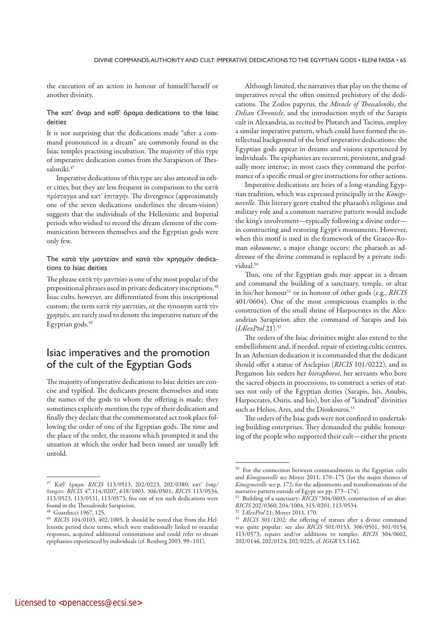the execution of an action in honour of himself/herself or another divinity.

#### The κατ' ὄναρ and καθ' ὅραμα dedications to the Isiac deities

It is not surprising that the dedications made "after a command pronounced in a dream" are commonly found in the Isiac temples practising incubation. The majority of this type of imperative dedication comes from the Sarapieion of Thessaloniki.<sup>47</sup>

Imperative dedications of this type are also attested in other cities, but they are less frequent in comparison to the κατὰ πρόσταγμα and κατ' ἐπιταγήν. The divergence (approximately one of the seven dedications underlines the dream-vision) suggests that the individuals of the Hellenistic and Imperial periods who wished to record the dream element of the communication between themselves and the Egyptian gods were only few.

#### The κατὰ τὴν μαντείαν and κατὰ τὸν χρησμόν dedications to Isiac deities

The phrase κατὰ τὴν μαντείαν is one of the most popular of the prepositional phrases used in private dedicatory inscriptions.<sup>48</sup> Isiac cults, however, are differentiated from this inscriptional custom; the term κατὰ τὴν μαντείαν, or the synonym κατὰ τὸν χρησμόν, are rarely used to denote the imperative nature of the Egyptian gods.<sup>49</sup>

### Isiac imperatives and the promotion of the cult of the Egyptian Gods

The majority of imperative dedications to Isiac deities are concise and typified. The dedicants present themselves and state the names of the gods to whom the offering is made; they sometimes explicitly mention the type of their dedication and finally they declare that the commemorated act took place following the order of one of the Egyptian gods. The time and the place of the order, the reasons which prompted it and the situation at which the order had been issued are usually left untold.

Although limited, the narratives that play on the theme of imperatives reveal the often omitted prehistory of the dedications. The Zoilos papyrus, the *Miracle of Thessaloniki*, the *Delian Chronicle*, and the introduction myth of the Sarapis cult in Alexandria, as recited by Plutarch and Tacitus, employ a similar imperative pattern, which could have formed the intellectual background of the brief imperative dedications: the Egyptian gods appear in dreams and visions experienced by individuals. The epiphanies are recurrent, persistent, and gradually more intense; in most cases they command the performance of a specific ritual or give instructions for other actions.

Imperative dedications are heirs of a long-standing Egyptian tradition, which was expressed principally in the *Königsnovelle*. This literary genre exalted the pharaoh's religious and military role and a common narrative pattern would include the king's involvement—typically following a divine order in constructing and restoring Egypt's monuments. However, when this motif is used in the framework of the Graeco-Roman *oikoumene*, a major change occurs: the pharaoh as addressee of the divine command is replaced by a private individual.<sup>50</sup>

Thus, one of the Egyptian gods may appear in a dream and command the building of a sanctuary, temple, or altar in his/her honour51 or in honour of other gods (e.g., *RICIS*  401/0604). One of the most conspicuous examples is the construction of the small shrine of Harpocrates in the Alexandrian Sarapieion after the command of Sarapis and Isis (*IAlexPtol* 21).52

The orders of the Isiac divinities might also extend to the embellishment and, if needed, repair of existing cultic centres. In an Athenian dedication it is commanded that the dedicant should offer a statue of Asclepius (*RICIS* 101/0222), and in Pergamon Isis orders her *hieraphoroi*, her servants who bore the sacred objects in processions, to construct a series of statues not only of the Egyptian deities (Sarapis, Isis, Anubis, Harpocrates, Osiris, and Isis), but also of "kindred" divinities such as Helios, Ares, and the Dioskouroi.<sup>53</sup>

The orders of the Isiac gods were not confined to undertaking building enterprises. They demanded the public honouring of the people who supported their cult—either the priests

<sup>47</sup> Καθ' ὅραμα: *RICIS* 113/0513, 202/0223, 202/0380; κατ' ὄναρ*/* ὄνειρον: *RICIS* 47.114/0207, 618/1003, 306/0501; *RICIS* 113/0534, 113/0523, 113/0531, 113/0573; five out of ten such dedications were found in the Thessaloniki Sarapieion.

Guarducci 1967, 125.

<sup>49</sup>*RICIS* 104/0103, 402/1005. It should be noted that from the Hellenistic period these terms, which were traditionally linked to oracular responses, acquired additional connotations and could refer to dream epiphanies experienced by individuals (cf. Renberg 2003, 99–101).

For the connection between commandments in the Egyptian cults and *Königsnovelle* see Moyer 2011, 170–175 (for the major themes of *Königsnovelle* see p. 172; for the adjustments and transformations of the narrative pattern outside of Egypt see pp. 173–174).

<sup>51</sup> Building of a sanctuary: *RICIS* \*304/0603; construction of an altar: *RICIS* 202/0360, 204/1004, 315/0201, 113/0534. 52 *IAlexPtol* 21; Moyer 2011, 170.

<sup>53</sup>*RICIS* 301/1202; the offering of statues after a divine command was quite popular: see also *RICIS* 501/0153, 306/0501, 501/0154, 113/0573; repairs and/or additions to temples: *RICIS* 304/0602, 202/0146, 202/0124, 202/0225; cf. *IGGR* I.5.1162.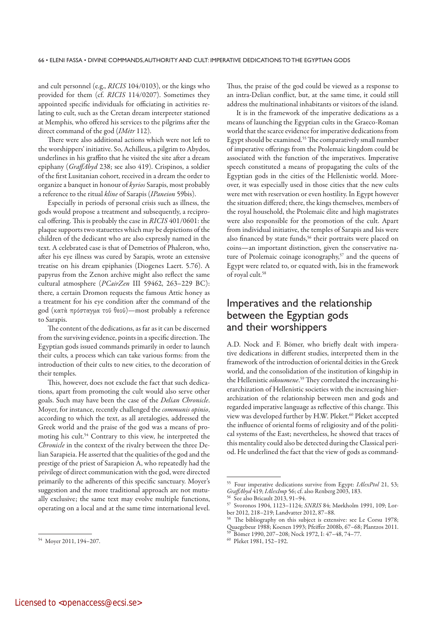and cult personnel (e.g., *RICIS* 104/0103), or the kings who provided for them (cf. *RICIS* 114/0207). Sometimes they appointed specific individuals for officiating in activities relating to cult, such as the Cretan dream interpreter stationed at Memphis, who offered his services to the pilgrims after the direct command of the god (*IMètr* 112).

There were also additional actions which were not left to the worshippers' initiative. So, Achilleus, a pilgrim to Abydos, underlines in his graffito that he visited the site after a dream epiphany (*GraffAbyd* 238; see also 419). Crispinos, a soldier of the first Lusitanian cohort, received in a dream the order to organize a banquet in honour of *kyrios* Sarapis, most probably a reference to the ritual *kline* of Sarapis (*IPaneion* 59bis).

Especially in periods of personal crisis such as illness, the gods would propose a treatment and subsequently, a reciprocal offering. This is probably the case in *RICIS* 401/0601: the plaque supports two statuettes which may be depictions of the children of the dedicant who are also expressly named in the text. A celebrated case is that of Demetrios of Phaleron, who, after his eye illness was cured by Sarapis, wrote an extensive treatise on his dream epiphanies (Diogenes Laert. 5.76). A papyrus from the Zenon archive might also reflect the same cultural atmosphere (*PCairZen* III 59462, 263–229 BC): there, a certain Dromon requests the famous Attic honey as a treatment for his eye condition after the command of the god (κατὰ πρόσταγμα τοῦ θεοῦ)—most probably a reference to Sarapis.

The content of the dedications, as far as it can be discerned from the surviving evidence, points in a specific direction. The Egyptian gods issued commands primarily in order to launch their cults, a process which can take various forms: from the introduction of their cults to new cities, to the decoration of their temples.

This, however, does not exclude the fact that such dedications, apart from promoting the cult would also serve other goals. Such may have been the case of the *Delian Chronicle*. Moyer, for instance, recently challenged the *communis opinio*, according to which the text, as all aretalogies, addressed the Greek world and the praise of the god was a means of promoting his cult.<sup>54</sup> Contrary to this view, he interpreted the *Chronicle* in the context of the rivalry between the three Delian Sarapieia. He asserted that the qualities of the god and the prestige of the priest of Sarapieion A, who repeatedly had the privilege of direct communication with the god, were directed primarily to the adherents of this specific sanctuary. Moyer's suggestion and the more traditional approach are not mutually exclusive; the same text may evolve multiple functions, operating on a local and at the same time international level.

Thus, the praise of the god could be viewed as a response to an intra-Delian conflict, but, at the same time, it could still address the multinational inhabitants or visitors of the island.

It is in the framework of the imperative dedications as a means of launching the Egyptian cults in the Graeco-Roman world that the scarce evidence for imperative dedications from Egypt should be examined.<sup>55</sup> The comparatively small number of imperative offerings from the Ptolemaic kingdom could be associated with the function of the imperatives. Imperative speech constituted a means of propagating the cults of the Egyptian gods in the cities of the Hellenistic world. Moreover, it was especially used in those cities that the new cults were met with reservation or even hostility. In Egypt however the situation differed; there, the kings themselves, members of the royal household, the Ptolemaic élite and high magistrates were also responsible for the promotion of the cult. Apart from individual initiative, the temples of Sarapis and Isis were also financed by state funds,<sup>56</sup> their portraits were placed on coins—an important distinction, given the conservative nature of Ptolemaic coinage iconography,<sup>57</sup> and the queens of Egypt were related to, or equated with, Isis in the framework of royal cult.<sup>58</sup>

### Imperatives and the relationship between the Egyptian gods and their worshippers

A.D. Nock and F. Bömer, who briefly dealt with imperative dedications in different studies, interpreted them in the framework of the introduction of oriental deities in the Greek world, and the consolidation of the institution of kingship in the Hellenistic *oikoumene*. 59 They correlated the increasing hierarchization of Hellenistic societies with the increasing hierarchization of the relationship between men and gods and regarded imperative language as reflective of this change. This view was developed further by H.W. Pleket.<sup>60</sup> Pleket accepted the influence of oriental forms of religiosity and of the political systems of the East; nevertheless, he showed that traces of this mentality could also be detected during the Classical period. He underlined the fact that the view of gods as command-

<sup>54</sup> Moyer 2011, 194–207.

<sup>55</sup> Four imperative dedications survive from Egypt: *IAlexPtol* 21, 53; *GraffAbyd* 419; *IAlexImp* 56; cf. also Renberg 2003, 183.

 $56\text{ See also Bricault } 2013, 91-94.$ 

<sup>57</sup> Svoronos 1904, 1123–1124; *SNRIS* 84; Mørkholm 1991, 109; Lorber 2012, 218–219; Landvatter 2012, 87–88.

The bibliography on this subject is extensive: see Le Corsu 1978; Quaegebeur 1988; Koenen 1993; Pfeiffer 2008b, 67–68; Plantzos 2011. 59 Bömer 1990, 207–208; Nock 1972, I: 47–48, 74–77.

<sup>60</sup> Pleket 1981, 152–192.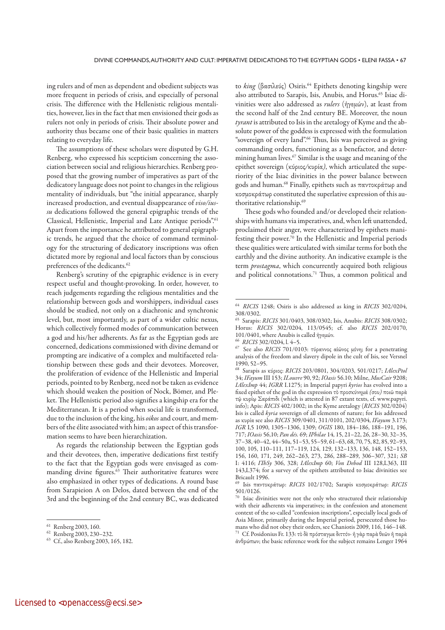ing rulers and of men as dependent and obedient subjects was more frequent in periods of crisis, and especially of personal crisis. The difference with the Hellenistic religious mentalities, however, lies in the fact that men envisioned their gods as rulers not only in periods of crisis. Their absolute power and authority thus became one of their basic qualities in matters relating to everyday life.

The assumptions of these scholars were disputed by G.H. Renberg, who expressed his scepticism concerning the association between social and religious hierarchies. Renberg proposed that the growing number of imperatives as part of the dedicatory language does not point to changes in the religious mentality of individuals, but "the initial appearance, sharply increased production, and eventual disappearance of *viso/iussu* dedications followed the general epigraphic trends of the Classical, Hellenistic, Imperial and Late Antique periods".<sup>61</sup> Apart from the importance he attributed to general epigraphic trends, he argued that the choice of command terminology for the structuring of dedicatory inscriptions was often dictated more by regional and local factors than by conscious preferences of the dedicants.<sup>62</sup>

Renberg's scrutiny of the epigraphic evidence is in every respect useful and thought-provoking. In order, however, to reach judgements regarding the religious mentalities and the relationship between gods and worshippers, individual cases should be studied, not only on a diachronic and synchronic level, but, most importantly, as part of a wider cultic nexus, which collectively formed modes of communication between a god and his/her adherents. As far as the Egyptian gods are concerned, dedications commissioned with divine demand or prompting are indicative of a complex and multifaceted relationship between these gods and their devotees. Moreover, the proliferation of evidence of the Hellenistic and Imperial periods, pointed to by Renberg, need not be taken as evidence which should weaken the position of Nock, Bömer, and Pleket. The Hellenistic period also signifies a kingship era for the Mediterranean. It is a period when social life is transformed, due to the inclusion of the king, his *oikos* and court, and members of the élite associated with him; an aspect of this transformation seems to have been hierarchization.

As regards the relationship between the Egyptian gods and their devotees, then, imperative dedications first testify to the fact that the Egyptian gods were envisaged as commanding divine figures.<sup>63</sup> Their authoritative features were also emphasized in other types of dedications. A round base from Sarapieion A on Delos, dated between the end of the 3rd and the beginning of the 2nd century BC, was dedicated to *king* (βασιλεύς) Osiris.64 Epithets denoting kingship were also attributed to Sarapis, Isis, Anubis, and Horus.<sup>65</sup> Isiac divinities were also addressed as *rulers* (ἡγεμών), at least from the second half of the 2nd century BE. Moreover, the noun *tyrant* is attributed to Isis in the aretalogy of Kyme and the absolute power of the goddess is expressed with the formulation "sovereign of every land".66 Thus, Isis was perceived as giving commanding orders, functioning as a benefactor, and determining human lives.67 Similar is the usage and meaning of the epithet sovereign (κύριος*/*κυρία*)*, which articulated the superiority of the Isiac divinities in the power balance between gods and human.68 Finally, epithets such as παντοκράτωρ and κοσμοκράτωρ constituted the superlative expression of this authoritative relationship.69

These gods who founded and/or developed their relationships with humans via imperatives, and, when left unattended, proclaimed their anger, were characterized by epithets manifesting their power.70 In the Hellenistic and Imperial periods these qualities were articulated with similar terms for both the earthly and the divine authority. An indicative example is the term *prostagma*, which concurrently acquired both religious and political connotations.71 Thus, a common political and

<sup>61</sup> Renberg 2003, 160.

<sup>62</sup> Renberg 2003, 230–232.

<sup>63</sup> Cf., also Renberg 2003, 165, 182.

<sup>64</sup>*RICIS* 1248; Osiris is also addressed as king in *RICIS* 302/0204, 308/0302.

<sup>65</sup> Sarapis: *RICIS* 301/0403, 308/0302; Isis, Anubis: *RICIS* 308/0302; Horus: *RICIS* 302/0204, 113/0545; cf. also *RICIS* 202/0170, 101/0401, where Anubis is called ἡγεμών.

<sup>66</sup>*RICIS* 302/0204, l. 4–5.

<sup>67</sup> See also *RICIS* 701/0103: τύραννος αἰῶνος μόνη; for a penetrating analysis of the freedom and slavery dipole in the cult of Isis, see Versnel 1990, 52–95.

<sup>68</sup> Sarapis as κύριος: *RICIS* 203/0801, 304/0203, 501/0217; *ΙAlexPtol* 34; *IFayum* III 153; *ILouvre* 90, 92; *IOasis* 56.10; Milne, *MusCair* 9208; *IAlexImp* 44; *IGRR* I.1275; in Imperial papyri *kyrios* has evolved into a fixed epithet of the god in the expression τὸ προσκύνημά *(*σου*)* ποιῶ παρὰ τῷ κυρίῳ Σαράπιδι (which is attested in 87 extant texts, cf. www.papyri. info); Apis: *RICIS* 402/1002; in the Kyme aretalogy (*RICIS* 302/0204) Isis is called *kyria* sovereign of all elements of nature; for Isis addressed as κυρία see also *RICIS* 309/0401, 311/0101, 202/0304, *IFayum* 3.173; *IGR* I,5 1090, 1305–1306, 1309; *OGIS* 180, 184–186, 188–191, 196, 717; *IOasis* 56,10; *Pan dés.* 69; *IPhilae* 14, 15, 21–22, 26, 28–30, 32–35, 37–38, 40–42, 44–50a, 51–53, 55–59, 61–63, 68, 70, 75, 82, 85, 92–93, 100, 105, 110–111, 117–119, 124, 129, 132–133, 136, 148, 152–153, 156, 160, 171, 249, 262–263, 273, 286, 288–289, 306–307, 321; *SB*  I: 4116; *IThSy* 306, 328; *IAlexImp* 60; *Von Debod* III 128,L363, III 143,L374; for a survey of the epithets attributed to Isiac divinities see Bricault 1996.

<sup>69</sup> Isis παντοκράτωρ: *RICIS* 102/1702; Sarapis κοσμοκράτωρ: *RICIS*  501/0126.

<sup>&</sup>lt;sup>70</sup> Isiac divinities were not the only who structured their relationship with their adherents via imperatives; in the confession and atonement context of the so-called "confession inscriptions", especially local gods of Asia Minor, primarily during the Imperial period, persecuted those humans who did not obey their orders, see Chaniotis 2009, 116, 146–148. 71 Cf. Posidonius Fr. 133: τὸ δὲ πρόσταγμα διττόν*∙* ἢ γὰρ παρὰ θεῶν ἢ παρὰ ἀνθρώπων; the basic reference work for the subject remains Lenger 1964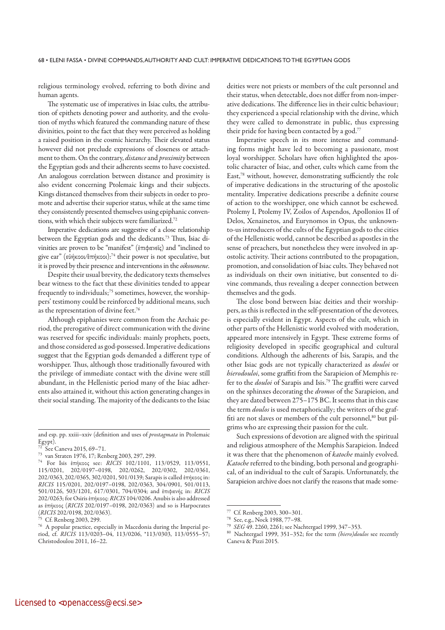religious terminology evolved, referring to both divine and human agents.

The systematic use of imperatives in Isiac cults, the attribution of epithets denoting power and authority, and the evolution of myths which featured the commanding nature of these divinities, point to the fact that they were perceived as holding a raised position in the cosmic hierarchy. Their elevated status however did not preclude expressions of closeness or attachment to them. On the contrary, *distance* and *proximity* between the Egyptian gods and their adherents seems to have coexisted. An analogous correlation between distance and proximity is also evident concerning Ptolemaic kings and their subjects. Kings distanced themselves from their subjects in order to promote and advertise their superior status, while at the same time they consistently presented themselves using epiphanic conventions, with which their subjects were familiarized.72

Imperative dedications are suggestive of a close relationship between the Egyptian gods and the dedicants.73 Thus, Isiac divinities are proven to be "manifest" (ἐπιφανεῖς) and "inclined to give ear" (εὐήκοοι*/*ἐπήκοοι):74 their power is not speculative, but it is proved by their presence and interventions in the *oikoumene*.

Despite their usual brevity, the dedicatory texts themselves bear witness to the fact that these divinities tended to appear frequently to individuals;<sup>75</sup> sometimes, however, the worshippers' testimony could be reinforced by additional means, such as the representation of divine feet.76

Although epiphanies were common from the Archaic period, the prerogative of direct communication with the divine was reserved for specific individuals: mainly prophets, poets, and those considered as god-possessed. Imperative dedications suggest that the Egyptian gods demanded a different type of worshipper. Thus, although those traditionally favoured with the privilege of immediate contact with the divine were still abundant, in the Hellenistic period many of the Isiac adherents also attained it, without this action generating changes in their social standing. The majority of the dedicants to the Isiac deities were not priests or members of the cult personnel and their status, when detectable, does not differ from non-imperative dedications. The difference lies in their cultic behaviour; they experienced a special relationship with the divine, which they were called to demonstrate in public, thus expressing their pride for having been contacted by a god.<sup>77</sup>

Imperative speech in its more intense and commanding forms might have led to becoming a passionate, most loyal worshipper. Scholars have often highlighted the apostolic character of Isiac, and other, cults which came from the East,78 without, however, demonstrating sufficiently the role of imperative dedications in the structuring of the apostolic mentality. Imperative dedications prescribe a definite course of action to the worshipper, one which cannot be eschewed. Ptolemy I, Ptolemy IV, Zoilos of Aspendos, Apollonios II of Delos, Xenainetos, and Eurynomos in Opus, the unknownto-us introducers of the cults of the Egyptian gods to the cities of the Hellenistic world, cannot be described as apostles in the sense of preachers, but nonetheless they were involved in apostolic activity. Their actions contributed to the propagation, promotion, and consolidation of Isiac cults. They behaved not as individuals on their own initiative, but consented to divine commands, thus revealing a deeper connection between themselves and the gods.

The close bond between Isiac deities and their worshippers, as this is reflected in the self-presentation of the devotees, is especially evident in Egypt. Aspects of the cult, which in other parts of the Hellenistic world evolved with moderation, appeared more intensively in Egypt. These extreme forms of religiosity developed in specific geographical and cultural conditions. Although the adherents of Isis, Sarapis, and the other Isiac gods are not typically characterized as *douloi* or *hiero douloi*, some graffiti from the Sarapieion of Memphis refer to the *douloi* of Sarapis and Isis.79 The graffiti were carved on the sphinxes decorating the *dromos* of the Sarapieion, and they are dated between 275–175 BC. It seems that in this case the term *doulos* is used metaphorically; the writers of the graffiti are not slaves or members of the cult personnel,<sup>80</sup> but pilgrims who are expressing their passion for the cult.

Such expressions of devotion are aligned with the spiritual and religious atmosphere of the Memphis Sarapieion. Indeed it was there that the phenomenon of *katoche* mainly evolved. *Katoche* referred to the binding, both personal and geographical, of an individual to the cult of Sarapis. Unfortunately, the Sarapieion archive does not clarify the reasons that made some-

and esp. pp. xxiii–xxiv (definition and uses of *prostagmata* in Ptolemaic  $E$ gypt).

See Caneva 2015, 69-71.

<sup>73</sup> van Straten 1976, 17; Renberg 2003, 297, 299.

<sup>74</sup> For Isis ἐπήκοος see: *RICIS* 102/1101, 113/0529, 113/0551, 115/0201, 202/0197–0198, 202/0262, 202/0302, 202/0361, 202/0363, 202/0365, 302/0201, 501/0139; Sarapis is called ἐπήκοος in: *RICIS* 115/0201, 202/0197–0198, 202/0363, 304/0901, 501/0113, 501/0126, 503/1201, 617/0301, 704/0304; and ἐπιφανής in: *RICIS* 202/0263; for Osiris ἐπήκοος: *RICIS* 104/0206. Anubis is also addressed as ἐπήκοος (*RICIS* 202/0197–0198, 202/0363) and so is Harpocrates (*RICIS* 202/0198, 202/0363).

Cf. Renberg 2003, 299.

<sup>76</sup> A popular practice, especially in Macedonia during the Imperial period, cf. *RICIS* 113/0203–04, 113/0206, \*113/0303, 113/0555–57; Christodoulou 2011, 16–22.

Cf. Renberg 2003, 300-301.

<sup>78</sup> See, e.g., Nock 1988, 77–98.

<sup>79</sup>*SEG* 49. 2260, 2261; see Nachtergael 1999, 347–353.

<sup>80</sup> Nachtergael 1999, 351–352; for the term *(hiero)doulos* see recently Caneva & Pizzi 2015.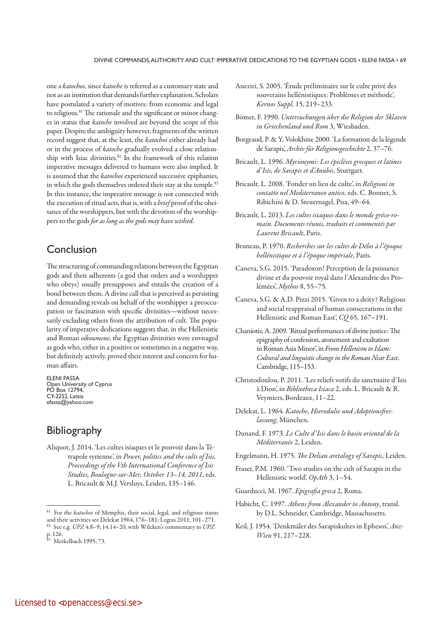one a *katochos*, since *katoche* is referred as a customary state and not as an institution that demands further explanation. Scholars have postulated a variety of motives: from economic and legal to religious.<sup>81</sup> The rationale and the significant or minor changes in status that *katoche* involved are beyond the scope of this paper. Despite the ambiguity however, fragments of the written record suggest that, at the least, the *katochoi* either already had or in the process of *katoche* gradually evolved a close relationship with Isiac divinities.<sup>82</sup> In the framework of this relation imperative messages delivered to humans were also implied. It is assumed that the *katochoi* experienced successive epiphanies, in which the gods themselves ordered their stay at the temple.<sup>83</sup> In this instance, the imperative message is not connected with the execution of ritual acts, that is, with a *brief* proof of the obeisance of the worshippers, but with the devotion of the worshippers to the gods *for as long as the gods may have wished*.

# Conclusion

The structuring of commanding relations between the Egyptian gods and their adherents (a god that orders and a worshipper who obeys) usually presupposes and entails the creation of a bond between them. A divine call that is perceived as persisting and demanding reveals on behalf of the worshipper a preoccupation or fascination with specific divinities—without necessarily excluding others from the attribution of cult. The popularity of imperative dedications suggests that, in the Hellenistic and Roman *oikoumene*, the Egyptian divinities were envisaged as gods who, either in a positive or sometimes in a negative way, but definitely actively, proved their interest and concern for human affairs.

ELENI FASSA Open University of Cyprus PO Box 12794, CY-2252, Latsia efassa@yahoo.com

# **Bibliography**

Aliquot, J. 2014. 'Les cultes isiaques et le pouvoir dans la Tétrapole syrienne', in *Power, politics and the cults of Isis, Proceedings of the Vth International Conference of Isis Studies, Boulogne-sur-Mer, October 13*–*14, 2011*, eds. L. Bricault & M.J. Versluys, Leiden, 135–146.

- Aneziri, S. 2005. 'Étude préliminaire sur le culte privé des souverains hellénistiques: Problèmes et méthode', *Kernos Suppl.* 15, 219–233.
- Bömer, F. 1990. *Untersuchungen über die Religion der Sklaven in Griechenland und Rom* 3, Wiesbaden.
- Borgeaud, P. & Y. Volokhine 2000. 'La formation de la légende de Sarapis', *Archiv für Religionsgeschichte* 2, 37–76.
- Bricault, L. 1996. *Myrionymi: Les épiclèses grecques et latines d'Isis, de Sarapis et d'Anubis*, Stuttgart.
- Bricault, L. 2008. 'Fonder un lieu de culte', in *Religioni in contatto nel Mediterraneo antico*, eds. C. Bonnet, S. Ribichini & D. Steuernagel, Pisa, 49–64.
- Bricault, L. 2013. *Les cultes isiaques dans le monde gréco-romain. Documents réunis, traduits et commentés par Laurent Bricault*, Paris.
- Bruneau, P. 1970. *Recherches sur les cultes de Délos à l'époque hellénistique et à l'époque impériale*, Paris.
- Caneva, S.G. 2015. 'Paradoxon! Perception de la puissance divine et du pouvoir royal dans l'Alexandrie des Ptolémées', *Mythos* 8, 55–75.
- Caneva, S.G. & A.D. Pizzi 2015. 'Given to a deity? Religious and social reappraisal of human consecrations in the Hellenistic and Roman East', *CQ* 65, 167–191.
- Chaniotis, A. 2009. 'Ritual performances of divine justice: The epigraphy of confession, atonement and exaltation in Roman Asia Minor', in *From Hellenism to Islam: Cultural and linguistic change in the Roman Near East*, Cambridge, 115–153.
- Christodoulou, P. 2011. 'Les reliefs votifs du sanctuaire d'Isis à Dion', in *Bibliotheca Isiaca* 2, eds. L. Bricault & R. Veymiers, Bordeaux, 11–22.
- Delekat, L. 1964. *Katoche, Hierodulie und Adoptionsfreilassung*, München.
- Dunand, F. 1973. *Le Culte d'Isis dans le basin oriental de la Méditerranée* 2, Leiden.
- Engelmann, H. 1975. *The Delian aretalogy of Sarapis*, Leiden.
- Fraser, P.M. 1960. 'Two studies on the cult of Sarapis in the Hellenistic world', *OpAth* 3, 1–54.
- Guarducci, M. 1967. *Epigrafia greca* 2, Roma.
- Habicht, C. 1997. *Athens from Alexander to Antony*, transl. by D.L. Schneider, Cambridge, Massachusetts.
- Keil, J. 1954. 'Denkmäler des Sarapiskultes in Ephesos', *Anz-Wien* 91, 217–228.

<sup>81</sup> For the *katochoi* of Memphis, their social, legal, and religious status and their activities see Delekat 1964, 176–181; Legras 2011, 101–271.

<sup>82</sup> See e.g. *UPZ* 4.8–9, 14.14–20, with Wilcken's commentary in *UPZ* p. 126.

<sup>83</sup> Merkelbach 1995, 73.